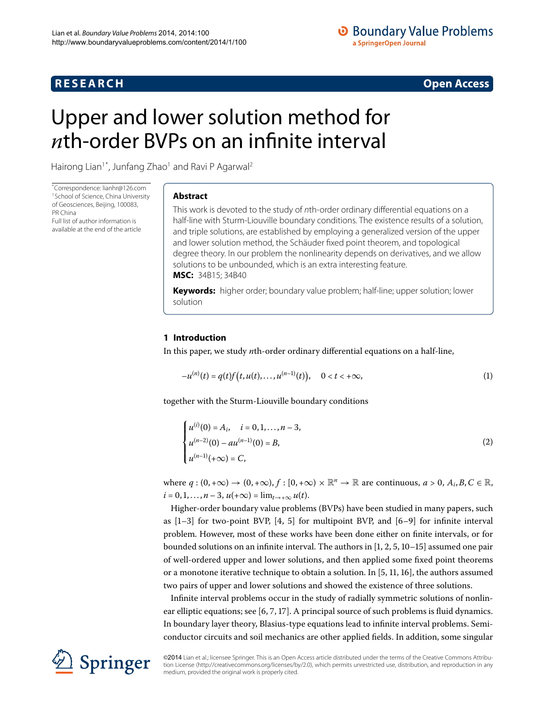# **R E S E A R C H Open Access**

<span id="page-0-1"></span>

# <span id="page-0-0"></span>Upper and lower solution method for *n*th-order BVPs on an infinite interval

Hairong Lian<sup>1[\\*](#page-0-0)</sup>, Junfang Zhao<sup>[1](#page-15-0)</sup> and Ravi P Agarwal<sup>2</sup>

\* Correspondence: [lianhr@126.com](mailto:lianhr@126.com) <sup>[1](#page-15-0)</sup> School of Science, China University of Geosciences, Beijing, 100083, PR China Full list of author information is available at the end of the article

## **Abstract**

This work is devoted to the study of nth-order ordinary differential equations on a half-line with Sturm-Liouville boundary conditions. The existence results of a solution, and triple solutions, are established by employing a generalized version of the upper and lower solution method, the Schäuder fixed point theorem, and topological degree theory. In our problem the nonlinearity depends on derivatives, and we allow solutions to be unbounded, which is an extra interesting feature. **MSC:** 34B15; 34B40

**Keywords:** higher order; boundary value problem; half-line; upper solution; lower solution

## **1 Introduction**

In this paper, we study *n*th-order ordinary differential equations on a half-line,

<span id="page-0-2"></span>
$$
-u^{(n)}(t) = q(t)f(t, u(t), \dots, u^{(n-1)}(t)), \quad 0 < t < +\infty,
$$
\n(1)

together with the Sturm-Liouville boundary conditions

$$
\begin{cases}\n u^{(i)}(0) = A_i, & i = 0, 1, ..., n - 3, \\
 u^{(n-2)}(0) - au^{(n-1)}(0) = B, \\
 u^{(n-1)}(+\infty) = C,\n\end{cases}
$$
\n(2)

where  $q:(0, +\infty) \to (0, +\infty)$ ,  $f:[0, +\infty) \times \mathbb{R}^n \to \mathbb{R}$  are continuous,  $a > 0$ ,  $A_i, B, C \in \mathbb{R}$ ,  $i = 0, 1, \ldots, n - 3, u(+\infty) = \lim_{t \to +\infty} u(t).$ 

Higher-order boundary value problems (BVPs) have been studied in many papers, such as  $[1-3]$  $[1-3]$  for two-point BVP[,](#page-15-4)  $[4, 5]$  for multipoint BVP, and  $[6-9]$  for infinite interval problem. However, most of these works have been done either on finite intervals, or for bounded solutions on an infinite interval. The authors in  $[1, 2, 5, 10-15]$  $[1, 2, 5, 10-15]$  $[1, 2, 5, 10-15]$  $[1, 2, 5, 10-15]$  assumed one pair of well-ordered upper and lower solutions, and then applied some fixed point theorems or a monotone iterative technique to obtain a solution. In  $[5, 11, 16]$  $[5, 11, 16]$ , the authors assumed two pairs of upper and lower solutions and showed the existence of three solutions.

Infinite interval problems occur in the study of radially symmetric solutions of nonlinear elliptic equations; see  $[6, 7, 17]$  $[6, 7, 17]$  $[6, 7, 17]$  $[6, 7, 17]$ . A principal source of such problems is fluid dynamics. In boundary layer theory, Blasius-type equations lead to infinite interval problems. Semiconductor circuits and soil mechanics are other applied fields. In addition, some singular



©2014 Lian et al.; licensee Springer. This is an Open Access article distributed under the terms of the Creative Commons Attribution License ([http://creativecommons.org/licenses/by/2.0\)](http://creativecommons.org/licenses/by/2.0), which permits unrestricted use, distribution, and reproduction in any medium, provided the original work is properly cited.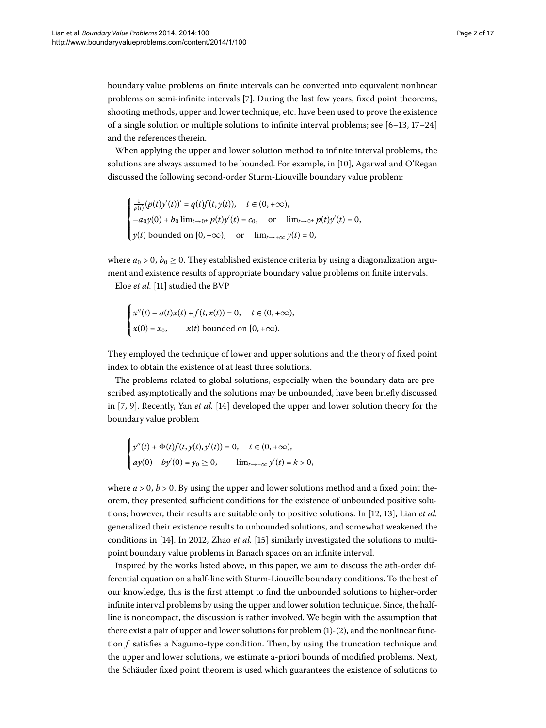boundary value problems on finite intervals can be converted into equivalent nonlinear problems on semi-infinite intervals [7[\]](#page-15-13). During the last few years, fixed point theorems, shooting methods, upper and lower technique, etc. have been used to prove the existence of a single solution or multiple solutions to infinite interval problems; see  $[6-13, 17-24]$ and the references therein.

When applying the upper and lower solution method to infinite interval problems, the solutions are always assumed to be bounded. For example, in [\[](#page-15-9)10], Agarwal and O'Regan discussed the following second-order Sturm-Liouville boundary value problem:

$$
\begin{cases} \frac{1}{p(t)} (p(t)y'(t))' = q(t)f(t,y(t)), \quad t \in (0,+\infty), \\ -a_0y(0) + b_0 \lim_{t \to 0^+} p(t)y'(t) = c_0, \quad \text{or} \quad \lim_{t \to 0^+} p(t)y'(t) = 0, \\ y(t) \text{ bounded on } [0,+\infty), \quad \text{or} \quad \lim_{t \to +\infty} y(t) = 0, \end{cases}
$$

where  $a_0 > 0$ ,  $b_0 \ge 0$ . They established existence criteria by using a diagonalization argument and existence results of appropriate boundary value problems on finite intervals.

Eloe et al. [11[\]](#page-15-11) studied the BVP

$$
\begin{cases}\nx''(t) - a(t)x(t) + f(t, x(t)) = 0, & t \in (0, +\infty), \\
x(0) = x_0, & x(t) \text{ bounded on } [0, +\infty).\n\end{cases}
$$

They employed the technique of lower and upper solutions and the theory of fixed point index to obtain the existence of at least three solutions.

The problems related to global solutions, especially when the boundary data are prescribed asymptotically and the solutions may be unbounded, have been briefly discussed in [7[,](#page-15-13) 9[\]](#page-15-17). Recently, Yan *et al.* [14] developed the upper and lower solution theory for the boundary value problem

$$
\begin{cases}\ny''(t) + \Phi(t)f(t, y(t), y'(t)) = 0, & t \in (0, +\infty), \\
\text{a}y(0) - \frac{by'}{0} = y_0 \ge 0, & \lim_{t \to +\infty} y'(t) = k > 0,\n\end{cases}
$$

where  $a > 0$ ,  $b > 0$ . By using the upper and lower solutions method and a fixed point theorem, they presented sufficient conditions for the existence of unbounded positive solu-tions; however, their results are suitable only to positive solutions. In [\[](#page-15-18)12, 13], Lian *et al.* generalized their existence results to unbounded solutions, and somewhat weakened the conditions in [\[](#page-15-17)14[\]](#page-15-10). In 2012, Zhao *et al.* [15] similarly investigated the solutions to multipoint boundary value problems in Banach spaces on an infinite interval.

Inspired by the works listed above, in this paper, we aim to discuss the *n*th-order differential equation on a half-line with Sturm-Liouville boundary conditions. To the best of our knowledge, this is the first attempt to find the unbounded solutions to higher-order infinite interval problems by using the upper and lower solution technique. Since, the halfline is noncompact, the discussion is rather involved. We begin with the assumption that there exist a pair of upper and lower solutions for problem  $(1)-(2)$  $(1)-(2)$  $(1)-(2)$ , and the nonlinear function *f* satisfies a Nagumo-type condition. Then, by using the truncation technique and the upper and lower solutions, we estimate a-priori bounds of modified problems. Next, the Schäuder fixed point theorem is used which guarantees the existence of solutions to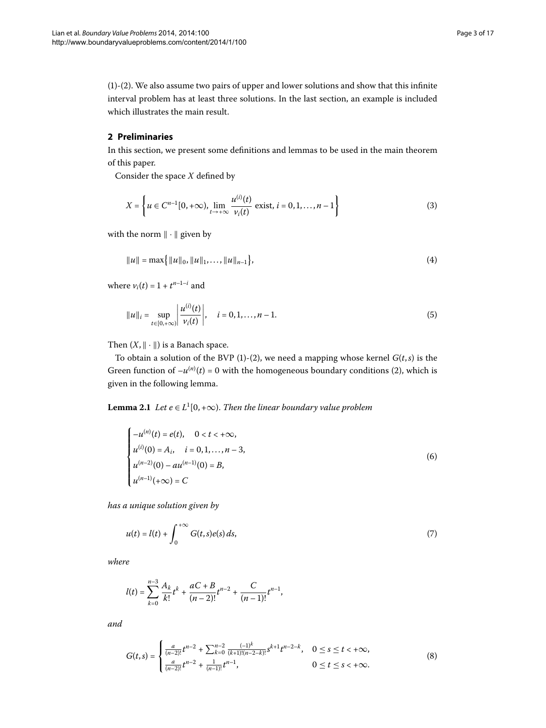([\)](#page-0-1)-([\)](#page-0-2). We also assume two pairs of upper and lower solutions and show that this infinite interval problem has at least three solutions. In the last section, an example is included which illustrates the main result.

## **2 Preliminaries**

In this section, we present some definitions and lemmas to be used in the main theorem of this paper.

Consider the space *X* defined by

$$
X = \left\{ u \in C^{n-1}[0, +\infty), \lim_{t \to +\infty} \frac{u^{(i)}(t)}{\nu_i(t)} \text{ exist, } i = 0, 1, ..., n-1 \right\}
$$
(3)

with the norm  $\|\cdot\|$  given by

$$
||u|| = \max\{|u||_0, ||u||_1, \ldots, ||u||_{n-1}\},\tag{4}
$$

where  $v_i(t) = 1 + t^{n-1-i}$  and

$$
||u||_{i} = \sup_{t \in [0, +\infty)} \left| \frac{u^{(i)}(t)}{v_{i}(t)} \right|, \quad i = 0, 1, ..., n-1.
$$
 (5)

<span id="page-2-3"></span>Then  $(X, \|\cdot\|)$  is a Banach space.

To obtain a solution of the BVP (1[\)](#page-0-2)-(2), we need a mapping whose kernel  $G(t, s)$  is the Green function of  $-u^{(n)}(t) = 0$  with the homogeneous boundary conditions (2), which is given in the following lemma.

**Lemma 2.1** *Let*  $e \in L^1[0, +\infty)$ . *Then the linear boundary value problem* 

<span id="page-2-1"></span><span id="page-2-0"></span>
$$
\begin{cases}\n-u^{(n)}(t) = e(t), & 0 < t < +\infty, \\
u^{(i)}(0) = A_i, & i = 0, 1, ..., n - 3, \\
u^{(n-2)}(0) - au^{(n-1)}(0) = B, \\
u^{(n-1)}(+\infty) = C\n\end{cases}
$$
\n(6)

*has a unique solution given by*

$$
u(t) = l(t) + \int_0^{+\infty} G(t,s)e(s) ds,
$$
\n(7)

*where*

<span id="page-2-2"></span>
$$
l(t) = \sum_{k=0}^{n-3} \frac{A_k}{k!} t^k + \frac{aC + B}{(n-2)!} t^{n-2} + \frac{C}{(n-1)!} t^{n-1},
$$

*and*

$$
G(t,s) = \begin{cases} \frac{a}{(n-2)!}t^{n-2} + \sum_{k=0}^{n-2} \frac{(-1)^k}{(k+1)!(n-2-k)!} s^{k+1} t^{n-2-k}, & 0 \le s \le t < +\infty, \\ \frac{a}{(n-2)!} t^{n-2} + \frac{1}{(n-1)!} t^{n-1}, & 0 \le t \le s < +\infty. \end{cases}
$$
(8)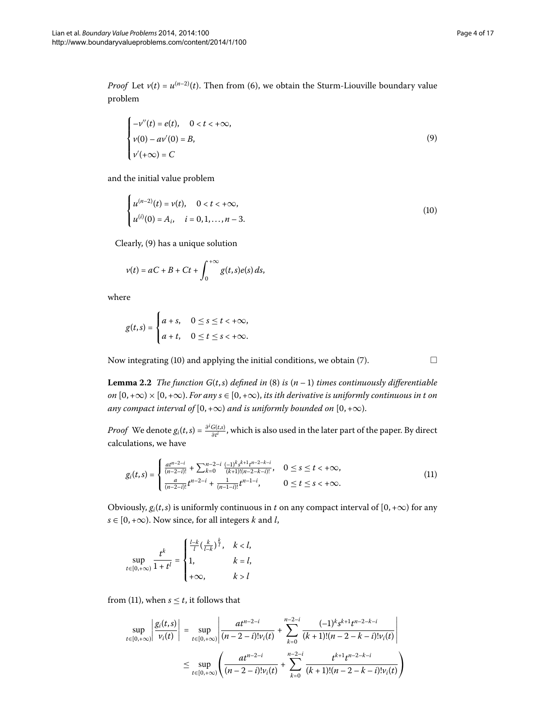<span id="page-3-2"></span><span id="page-3-1"></span> $\Box$ 

*Proof* Let  $v(t) = u^{(n-2)}(t)$  $v(t) = u^{(n-2)}(t)$  $v(t) = u^{(n-2)}(t)$ . Then from (6), we obtain the Sturm-Liouville boundary value problem

<span id="page-3-0"></span>
$$
\begin{cases}\n-v''(t) = e(t), & 0 < t < +\infty, \\
v(0) - av'(0) = B, \\
v'(+\infty) = C\n\end{cases} \tag{9}
$$

and the initial value problem

$$
\begin{cases}\n u^{(n-2)}(t) = v(t), & 0 < t < +\infty, \\
 u^{(i)}(0) = A_i, & i = 0, 1, ..., n-3.\n\end{cases}
$$
\n(10)

Clearly, (9[\)](#page-3-0) has a unique solution

$$
v(t) = aC + B + Ct + \int_0^{+\infty} g(t,s)e(s) ds,
$$

where

$$
g(t,s) = \begin{cases} a+s, & 0 \leq s \leq t < +\infty, \\ a+t, & 0 \leq t \leq s < +\infty. \end{cases}
$$

Now integrating (10) and applying the initial conditions, we obtain (7).

**Lemma 2.2** The function  $G(t,s)$  $G(t,s)$  $G(t,s)$  defined in (8) is  $(n-1)$  times continuously differentiable *on*  $[0, +\infty) \times [0, +\infty)$ . *For any s*  $\in [0, +\infty)$ , *its ith derivative is uniformly continuous in t on any compact interval of*  $[0, +\infty)$  *and is uniformly bounded on*  $[0, +\infty)$ *.* 

*Proof* We denote  $g_i(t,s) = \frac{\partial^i G(t,s)}{\partial t^i}$ , which is also used in the later part of the paper. By direct calculations, we have

$$
g_i(t,s) = \begin{cases} \frac{at^{n-2-i}}{(n-2-i)!} + \sum_{k=0}^{n-2-i} \frac{(-1)^k s^{k+1} t^{n-2-k-i}}{(k+1)!(n-2-k-i)!}, & 0 \le s \le t < +\infty, \\ \frac{a}{(n-2-i)!} t^{n-2-i} + \frac{1}{(n-1-i)!} t^{n-1-i}, & 0 \le t \le s < +\infty. \end{cases}
$$
(11)

Obviously,  $g_i(t,s)$  is uniformly continuous in *t* on any compact interval of  $[0, +\infty)$  for any  $s \in [0, +\infty)$ . Now since, for all integers *k* and *l*,

$$
\sup_{t\in[0,+\infty)}\frac{t^k}{1+t^l}=\begin{cases}\frac{l-k}{l}\big(\frac{k}{l-k}\big)^\frac{k}{l}, & kl\end{cases}
$$

from [\(](#page-3-2)11), when  $s \leq t$ , it follows that

$$
\sup_{t \in [0,+\infty)} \left| \frac{g_i(t,s)}{\nu_i(t)} \right| = \sup_{t \in [0,+\infty)} \left| \frac{at^{n-2-i}}{(n-2-i)! \nu_i(t)} + \sum_{k=0}^{n-2-i} \frac{(-1)^k s^{k+1} t^{n-2-k-i}}{(k+1)!(n-2-k-i)! \nu_i(t)} \right|
$$
  

$$
\leq \sup_{t \in [0,+\infty)} \left( \frac{at^{n-2-i}}{(n-2-i)! \nu_i(t)} + \sum_{k=0}^{n-2-i} \frac{t^{k+1} t^{n-2-k-i}}{(k+1)!(n-2-k-i)! \nu_i(t)} \right)
$$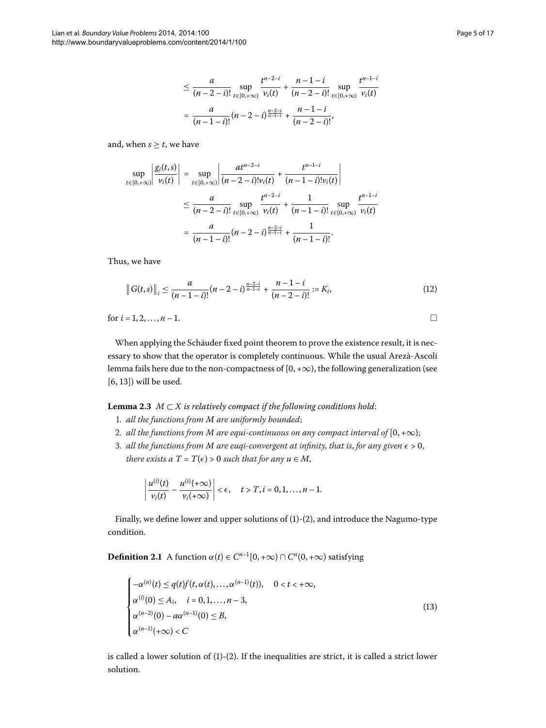$$
\leq \frac{a}{(n-2-i)!} \sup_{t \in [0,+\infty)} \frac{t^{n-2-i}}{\nu_i(t)} + \frac{n-1-i}{(n-2-i)!} \sup_{t \in [0,+\infty)} \frac{t^{n-1-i}}{\nu_i(t)}
$$

$$
= \frac{a}{(n-1-i)!} (n-2-i)^{\frac{n-2-i}{n-1-i}} + \frac{n-1-i}{(n-2-i)!},
$$

and, when  $s \geq t$ , we have

$$
\sup_{t \in [0,+\infty)} \left| \frac{g_i(t,s)}{\nu_i(t)} \right| = \sup_{t \in [0,+\infty)} \left| \frac{at^{n-2-i}}{(n-2-i)! \nu_i(t)} + \frac{t^{n-1-i}}{(n-1-i)! \nu_i(t)} \right|
$$
  

$$
\leq \frac{a}{(n-2-i)!} \sup_{t \in [0,+\infty)} \frac{t^{n-2-i}}{\nu_i(t)} + \frac{1}{(n-1-i)!} \sup_{t \in [0,+\infty)} \frac{t^{n-1-i}}{\nu_i(t)}
$$
  

$$
= \frac{a}{(n-1-i)!} (n-2-i)^{\frac{n-2-i}{n-1-i}} + \frac{1}{(n-1-i)!}.
$$

Thus, we have

$$
\|G(t,s)\|_{i} \leq \frac{a}{(n-1-i)!} (n-2-i)^{\frac{n-2-i}{n-1-i}} + \frac{n-1-i}{(n-2-i)!} := K_{i},
$$
\n(12)

<span id="page-4-1"></span>for  $i = 1, 2, ..., n - 1$ .

When applying the Schäuder fixed point theorem to prove the existence result, it is necessary to show that the operator is completely continuous. While the usual Arezà-Ascoli lemma fails here due to the non-compactness of  $[0, +\infty)$ , the following generalization (see  $[6, 13]$  $[6, 13]$ ) will be used.

## **Lemma 2.3**  $M \subset X$  is relatively compact if the following conditions hold:

- . *all the functions from M are uniformly bounded*;
- 2. *all the functions from M are equi-continuous on any compact interval of*  $[0, +\infty)$ ;
- 3. *all the functions from M are euqi-convergent at infinity, that is, for any given*  $\epsilon > 0$ , *there exists a*  $T = T(\epsilon) > 0$  *such that for any*  $u \in M$ ,

<span id="page-4-0"></span>
$$
\left|\frac{u^{(i)}(t)}{v_i(t)}-\frac{u^{(i)}(+\infty)}{v_i(+\infty)}\right|<\epsilon,\quad t>T,i=0,1,\ldots,n-1.
$$

Finally, we define lower and upper solutions of  $(1)-(2)$  $(1)-(2)$ , and introduce the Nagumo-type condition.

**Definition 2.1** A function  $\alpha(t) \in C^{n-1}[0, +\infty) \cap C^n(0, +\infty)$  satisfying

$$
\begin{cases}\n-\alpha^{(n)}(t) \leq q(t)f(t,\alpha(t),\ldots,\alpha^{(n-1)}(t)), & 0 < t < +\infty, \\
\alpha^{(i)}(0) \leq A_i, & i = 0,1,\ldots,n-3, \\
\alpha^{(n-2)}(0) - a\alpha^{(n-1)}(0) \leq B, \\
\alpha^{(n-1)}(+\infty) < C\n\end{cases}
$$
\n(13)

is called a lower solution of  $(1)-(2)$ . If the inequalities are strict, it is called a strict lower solution.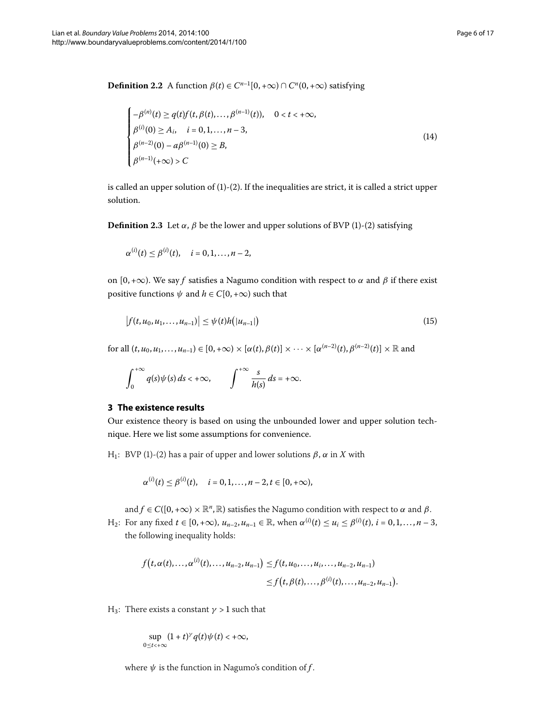**Definition 2.2** A function  $\beta(t) \in C^{n-1}[0, +\infty) \cap C^n(0, +\infty)$  satisfying

<span id="page-5-0"></span>
$$
\begin{cases}\n-\beta^{(n)}(t) \ge q(t)f(t,\beta(t),\ldots,\beta^{(n-1)}(t)), & 0 < t < +\infty, \\
\beta^{(i)}(0) \ge A_i, & i = 0,1,\ldots,n-3, \\
\beta^{(n-2)}(0) - a\beta^{(n-1)}(0) \ge B, \\
\beta^{(n-1)}(+\infty) > C\n\end{cases}
$$
\n(14)

is called an upper solution of  $(1)-(2)$  $(1)-(2)$  $(1)-(2)$ . If the inequalities are strict, it is called a strict upper solution.

**Definition 2.3** Let  $\alpha$ ,  $\beta$  be the lower and upper solutions of BVP [\(](#page-0-2)1)-(2) satisfying

$$
\alpha^{(i)}(t) \leq \beta^{(i)}(t), \quad i = 0, 1, ..., n-2,
$$

on  $[0, +\infty)$ . We say *f* satisfies a Nagumo condition with respect to  $\alpha$  and  $\beta$  if there exist positive functions  $\psi$  and  $h \in C[0, +\infty)$  such that

$$
|f(t, u_0, u_1, \dots, u_{n-1})| \leq \psi(t)h(|u_{n-1}|) \tag{15}
$$

 $f(x) = \{f(x_1, x_0, u_1, \ldots, u_{n-1}) \in [0, +\infty) \times [\alpha(t), \beta(t)] \times \cdots \times [\alpha^{(n-2)}(t), \beta^{(n-2)}(t)] \times \mathbb{R}$  and

$$
\int_0^{+\infty} q(s)\psi(s)\,ds < +\infty, \qquad \int_{-\infty}^{+\infty} \frac{s}{h(s)}\,ds = +\infty.
$$

## **3 The existence results**

Our existence theory is based on using the unbounded lower and upper solution technique. Here we list some assumptions for convenience.

H<sub>1</sub>: BVP (1[\)](#page-0-2)-(2) has a pair of upper and lower solutions  $β$ ,  $α$  in  $X$  with

$$
\alpha^{(i)}(t) \leq \beta^{(i)}(t), \quad i = 0, 1, ..., n-2, t \in [0, +\infty),
$$

and  $f \in C([0, +\infty) \times \mathbb{R}^n, \mathbb{R})$  satisfies the Nagumo condition with respect to  $\alpha$  and  $\beta$ .

*H*<sub>2</sub>: For any fixed *t* ∈ [0, +∞),  $u_{n-2}$ ,  $u_{n-1}$  ∈ ℝ, when  $\alpha^{(i)}(t)$  ≤  $u_i$  ≤  $\beta^{(i)}(t)$ ,  $i = 0, 1, ..., n - 3$ , the following inequality holds:

$$
f(t, \alpha(t),..., \alpha^{(i)}(t),..., u_{n-2}, u_{n-1}) \leq f(t, u_0,..., u_i,..., u_{n-2}, u_{n-1})
$$
  

$$
\leq f(t, \beta(t),..., \beta^{(i)}(t),..., u_{n-2}, u_{n-1}).
$$

H<sub>3</sub>: There exists a constant  $\gamma > 1$  such that

$$
\sup_{0\leq t<+\infty}(1+t)^{\gamma}q(t)\psi(t)<+\infty,
$$

where  $\psi$  is the function in Nagumo's condition of  $f$ .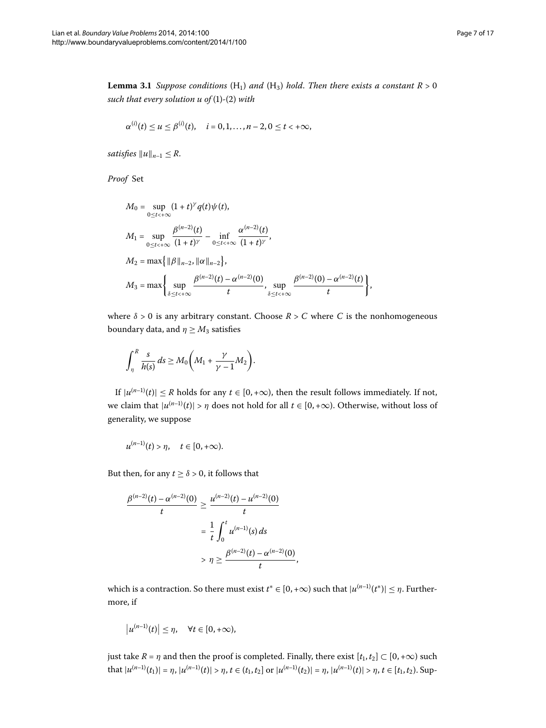<span id="page-6-0"></span>**Lemma 3.1** Suppose conditions  $(H_1)$  and  $(H_3)$  hold. Then there exists a constant  $R > 0$ *such that every solution u of*  $(1)-(2)$  $(1)-(2)$  $(1)-(2)$  *with* 

$$
\alpha^{(i)}(t) \le u \le \beta^{(i)}(t), \quad i = 0, 1, ..., n-2, 0 \le t < +\infty,
$$

*satisfies*  $||u||_{n-1} \leq R$ .

*Proof* Set

$$
M_0 = \sup_{0 \le t < +\infty} (1+t)^{\gamma} q(t) \psi(t),
$$
  
\n
$$
M_1 = \sup_{0 \le t < +\infty} \frac{\beta^{(n-2)}(t)}{(1+t)^{\gamma}} - \inf_{0 \le t < +\infty} \frac{\alpha^{(n-2)}(t)}{(1+t)^{\gamma}},
$$
  
\n
$$
M_2 = \max \{ ||\beta||_{n-2}, ||\alpha||_{n-2} \},
$$
  
\n
$$
M_3 = \max \left\{ \sup_{\delta \le t < +\infty} \frac{\beta^{(n-2)}(t) - \alpha^{(n-2)}(0)}{t}, \sup_{\delta \le t < +\infty} \frac{\beta^{(n-2)}(0) - \alpha^{(n-2)}(t)}{t} \right\},
$$

where  $\delta > 0$  is any arbitrary constant. Choose  $R > C$  where *C* is the nonhomogeneous boundary data, and  $\eta \geq M_3$  satisfies

$$
\int_{\eta}^{R} \frac{s}{h(s)} ds \geq M_0 \bigg(M_1 + \frac{\gamma}{\gamma - 1} M_2 \bigg).
$$

If  $|u^{(n-1)}(t)| \leq R$  holds for any  $t \in [0, +\infty)$ , then the result follows immediately. If not, we claim that  $|u^{(n-1)}(t)| > \eta$  does not hold for all  $t \in [0, +\infty)$ . Otherwise, without loss of generality, we suppose

$$
u^{(n-1)}(t) > \eta, \quad t \in [0,+\infty).
$$

But then, for any  $t \ge \delta > 0$ , it follows that

$$
\frac{\beta^{(n-2)}(t) - \alpha^{(n-2)}(0)}{t} \ge \frac{\mu^{(n-2)}(t) - \mu^{(n-2)}(0)}{t}
$$

$$
= \frac{1}{t} \int_0^t \mu^{(n-1)}(s) ds
$$

$$
> \eta \ge \frac{\beta^{(n-2)}(t) - \alpha^{(n-2)}(0)}{t},
$$

which is a contraction. So there must exist  $t^* \in [0, +\infty)$  such that  $|u^{(n-1)}(t^*)| \leq \eta$ . Furthermore, if

$$
|u^{(n-1)}(t)| \leq \eta, \quad \forall t \in [0,+\infty),
$$

just take  $R = \eta$  and then the proof is completed. Finally, there exist  $[t_1, t_2] \subset [0, +\infty)$  such that  $|u^{(n-1)}(t_1)| = \eta$ ,  $|u^{(n-1)}(t)| > \eta$ ,  $t \in (t_1, t_2]$  or  $|u^{(n-1)}(t_2)| = \eta$ ,  $|u^{(n-1)}(t)| > \eta$ ,  $t \in [t_1, t_2)$ . Sup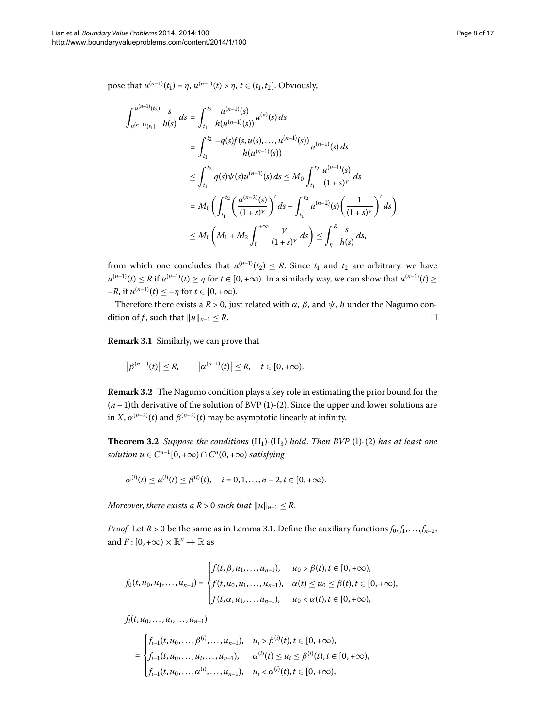pose that  $u^{(n-1)}(t_1) = \eta$ ,  $u^{(n-1)}(t) > \eta$ ,  $t \in (t_1, t_2]$ . Obviously,

$$
\int_{u^{(n-1)}(t_2)}^{u^{(n-1)}(t_2)} \frac{s}{h(s)} ds = \int_{t_1}^{t_2} \frac{u^{(n-1)}(s)}{h(u^{(n-1)}(s))} u^{(n)}(s) ds
$$
  
\n
$$
= \int_{t_1}^{t_2} \frac{-q(s)f(s, u(s), \dots, u^{(n-1)}(s))}{h(u^{(n-1)}(s))} u^{(n-1)}(s) ds
$$
  
\n
$$
\leq \int_{t_1}^{t_2} q(s) \psi(s) u^{(n-1)}(s) ds \leq M_0 \int_{t_1}^{t_2} \frac{u^{(n-1)}(s)}{(1+s)^\gamma} ds
$$
  
\n
$$
= M_0 \left( \int_{t_1}^{t_2} \left( \frac{u^{(n-2)}(s)}{(1+s)^\gamma} \right)' ds - \int_{t_1}^{t_2} u^{(n-2)}(s) \left( \frac{1}{(1+s)^\gamma} \right)' ds \right)
$$
  
\n
$$
\leq M_0 \left( M_1 + M_2 \int_0^{+\infty} \frac{\gamma}{(1+s)^\gamma} ds \right) \leq \int_{\eta}^R \frac{s}{h(s)} ds,
$$

from which one concludes that  $u^{(n-1)}(t_2) \leq R$ . Since  $t_1$  and  $t_2$  are arbitrary, we have  $u^{(n-1)}(t) \le R$  if  $u^{(n-1)}(t) \ge n$  for  $t \in [0, +\infty)$ . In a similarly way, we can show that  $u^{(n-1)}(t) \ge n$  $-R$ , if  $u^{(n-1)}(t) < -\eta$  for  $t \in [0, +\infty)$ .

Therefore there exists a  $R > 0$ , just related with  $\alpha$ ,  $\beta$ , and  $\psi$ ,  $h$  under the Nagumo condition of *f*, such that  $||u||_{n-1} \leq R$ .

<span id="page-7-0"></span>**Remark 3.1** Similarly, we can prove that

$$
\left|\beta^{(n-1)}(t)\right|\leq R,\qquad \left|\alpha^{(n-1)}(t)\right|\leq R,\quad t\in[0,+\infty).
$$

**Remark 3.2** The Nagumo condition plays a key role in estimating the prior bound for the  $(n-1)$  $(n-1)$ th derivative of the solution of BVP (1)-(2). Since the upper and lower solutions are in *X*,  $\alpha^{(n-2)}(t)$  and  $\beta^{(n-2)}(t)$  may be asymptotic linearly at infinity.

**Theorem 3.2** Suppose the conditions  $(H_1)$  $(H_1)$ - $(H_3)$  hold. Then BVP  $(1)$ - $(2)$  has at least one *solution*  $u \in C^{n-1}[0, +\infty) \cap C^n(0, +\infty)$  *satisfying* 

$$
\alpha^{(i)}(t) \leq u^{(i)}(t) \leq \beta^{(i)}(t), \quad i = 0, 1, ..., n-2, t \in [0, +\infty).
$$

*Moreover, there exists a R > 0 such that*  $||u||_{n-1} \le R$ .

*Proof* Let  $R > 0$  be the same as in Lemma 3[.](#page-6-0)1. Define the auxiliary functions  $f_0, f_1, \ldots, f_{n-2}$ , and  $F : [0, +\infty) \times \mathbb{R}^n \to \mathbb{R}$  as

$$
f_0(t, u_0, u_1, \ldots, u_{n-1}) = \begin{cases} f(t, \beta, u_1, \ldots, u_{n-1}), & u_0 > \beta(t), t \in [0, +\infty), \\ f(t, u_0, u_1, \ldots, u_{n-1}), & \alpha(t) \le u_0 \le \beta(t), t \in [0, +\infty), \\ f(t, \alpha, u_1, \ldots, u_{n-1}), & u_0 < \alpha(t), t \in [0, +\infty), \end{cases}
$$

 $f_i(t, u_0, \ldots, u_i, \ldots, u_{n-1})$ 

$$
= \begin{cases} f_{i-1}(t,u_0,\ldots,\beta^{(i)},\ldots,u_{n-1}), & u_i > \beta^{(i)}(t), t \in [0,+\infty), \\ f_{i-1}(t,u_0,\ldots,u_i,\ldots,u_{n-1}), & \alpha^{(i)}(t) \leq u_i \leq \beta^{(i)}(t), t \in [0,+\infty), \\ f_{i-1}(t,u_0,\ldots,\alpha^{(i)},\ldots,u_{n-1}), & u_i < \alpha^{(i)}(t), t \in [0,+\infty), \end{cases}
$$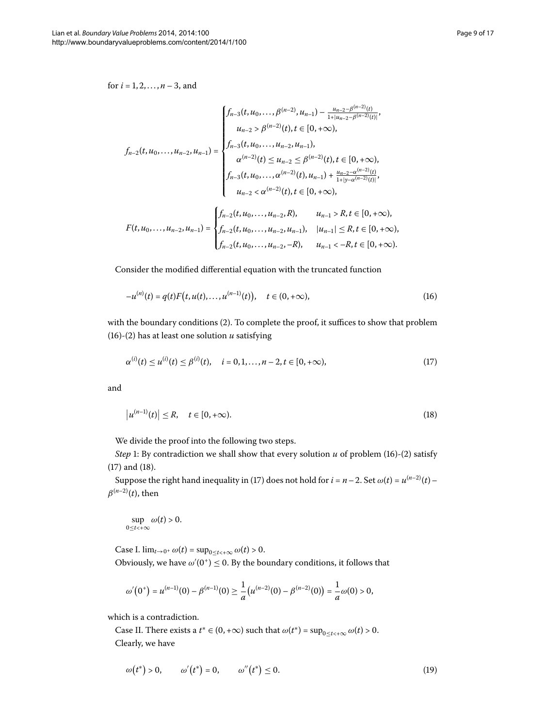for  $i = 1, 2, ..., n - 3$ , and

$$
f_{n-2}(t, u_0, \ldots, u_{n-2}, u_{n-1}) = \begin{cases} f_{n-3}(t, u_0, \ldots, \beta^{(n-2)}, u_{n-1}) - \frac{u_{n-2} - \beta^{(n-2)}(t)}{1 + |u_{n-2} - \beta^{(n-2)}(t)|}, \\ u_{n-2} > \beta^{(n-2)}(t), t \in [0, +\infty), \\ \alpha^{(n-2)}(t) \le u_{n-2} \le \beta^{(n-2)}(t), t \in [0, +\infty), \\ f_{n-3}(t, u_0, \ldots, \alpha^{(n-2)}(t), u_{n-1}) + \frac{u_{n-2} - \alpha^{(n-2)}(t)}{1 + |y - \alpha^{(n-2)}(t)|}, \\ u_{n-2} < \alpha^{(n-2)}(t), t \in [0, +\infty), \\ u_{n-2} < \alpha^{(n-2)}(t), t \in [0, +\infty), \\ f_{n-2}(t, u_0, \ldots, u_{n-2}, u_{n-1}), \quad |u_{n-1}| \le R, t \in [0, +\infty), \\ f_{n-2}(t, u_0, \ldots, u_{n-2}, u_{n-1}), \quad u_{n-1} < -R, t \in [0, +\infty). \end{cases}
$$

Consider the modified differential equation with the truncated function

<span id="page-8-2"></span><span id="page-8-1"></span><span id="page-8-0"></span>
$$
-u^{(n)}(t) = q(t)F(t, u(t), \dots, u^{(n-1)}(t)), \quad t \in (0, +\infty),
$$
\n(16)

with the boundary conditions  $(2)$  $(2)$ . To complete the proof, it suffices to show that problem (16[\)](#page-0-2)-(2) has at least one solution  $u$  satisfying

$$
\alpha^{(i)}(t) \le \mu^{(i)}(t) \le \beta^{(i)}(t), \quad i = 0, 1, \dots, n-2, t \in [0, +\infty), \tag{17}
$$

and

$$
|u^{(n-1)}(t)| \le R, \quad t \in [0, +\infty). \tag{18}
$$

We divide the proof into the following two steps.

*Step* 1: By contradiction we shall show that every solution  $u$  of problem (16[\)](#page-0-2)-(2) satisfy  $(17)$  $(17)$  and  $(18)$ .

Suppose the right hand inequality in (17) does not hold for  $i = n - 2$ . Set  $\omega(t) = u^{(n-2)}(t)$  $\beta^{(n-2)}(t)$ , then

$$
\sup_{0\leq t<+\infty}\omega(t)>0.
$$

Case I.  $\lim_{t\to 0^+} \omega(t) = \sup_{0\leq t < +\infty} \omega(t) > 0$ .

Obviously, we have  $\omega'(0^+) \leq 0$ . By the boundary conditions, it follows that

<span id="page-8-3"></span>
$$
\omega'(0^+) = u^{(n-1)}(0) - \beta^{(n-1)}(0) \ge \frac{1}{a} \big( u^{(n-2)}(0) - \beta^{(n-2)}(0) \big) = \frac{1}{a} \omega(0) > 0,
$$

which is a contradiction.

Case II. There exists a  $t^* \in (0, +\infty)$  such that  $\omega(t^*) = \sup_{0 \le t \le +\infty} \omega(t) > 0$ . Clearly, we have

$$
\omega(t^*) > 0, \qquad \omega'(t^*) = 0, \qquad \omega''(t^*) \le 0. \tag{19}
$$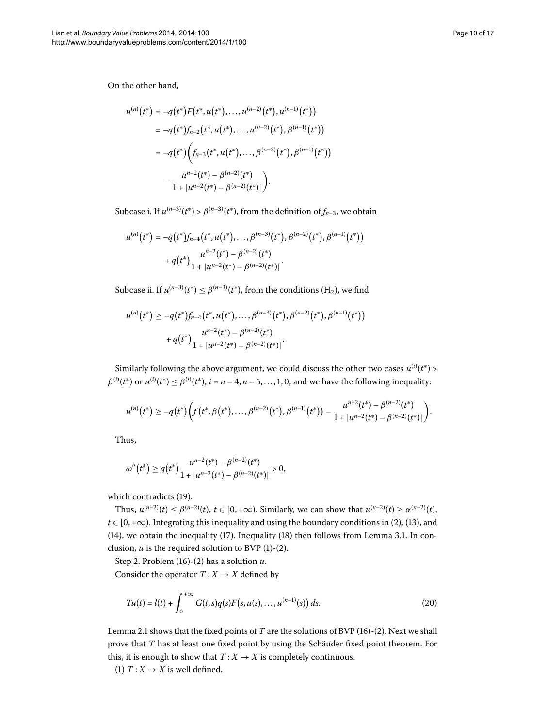On the other hand,

$$
u^{(n)}(t^*) = -q(t^*)F(t^*, u(t^*), \dots, u^{(n-2)}(t^*), u^{(n-1)}(t^*))
$$
  
=  $-q(t^*)f_{n-2}(t^*, u(t^*), \dots, u^{(n-2)}(t^*), \beta^{(n-1)}(t^*))$   
=  $-q(t^*)\left(f_{n-3}(t^*, u(t^*), \dots, \beta^{(n-2)}(t^*), \beta^{(n-1)}(t^*))\right)$   
 $- \frac{u^{n-2}(t^*) - \beta^{(n-2)}(t^*)}{1 + |u^{n-2}(t^*) - \beta^{(n-2)}(t^*)|}\right).$ 

Subcase i. If  $u^{(n-3)}(t^*) > \beta^{(n-3)}(t^*)$ , from the definition of  $f_{n-3}$ , we obtain

$$
u^{(n)}(t^*) = -q(t^*)f_{n-4}(t^*, u(t^*), \ldots, \beta^{(n-3)}(t^*), \beta^{(n-2)}(t^*), \beta^{(n-1)}(t^*))
$$
  
+ 
$$
q(t^*) \frac{u^{n-2}(t^*) - \beta^{(n-2)}(t^*)}{1 + |u^{n-2}(t^*) - \beta^{(n-2)}(t^*)|}.
$$

Subcase ii. If  $u^{(n-3)}(t^*) \leq \beta^{(n-3)}(t^*)$ , from the conditions (H<sub>2</sub>), we find

$$
u^{(n)}(t^*) \ge -q(t^*) f_{n-4}(t^*, u(t^*), \dots, \beta^{(n-3)}(t^*), \beta^{(n-2)}(t^*), \beta^{(n-1)}(t^*))
$$
  
+ 
$$
q(t^*) \frac{u^{n-2}(t^*) - \beta^{(n-2)}(t^*)}{1 + |u^{n-2}(t^*) - \beta^{(n-2)}(t^*)|}.
$$

Similarly following the above argument, we could discuss the other two cases  $u^{(i)}(t^*)$  >  $\beta^{(i)}(t^*)$  or  $u^{(i)}(t^*) \leq \beta^{(i)}(t^*)$ ,  $i = n-4, n-5, \ldots, 1, 0$ , and we have the following inequality:

$$
u^{(n)}(t^*) \geq -q(t^*) \bigg(f(t^*, \beta(t^*), \ldots, \beta^{(n-2)}(t^*), \beta^{(n-1)}(t^*)) - \frac{u^{n-2}(t^*) - \beta^{(n-2)}(t^*)}{1 + |u^{n-2}(t^*) - \beta^{(n-2)}(t^*)|}\bigg).
$$

Thus,

$$
\omega''(t^*) \geq q(t^*) \frac{u^{n-2}(t^*) - \beta^{(n-2)}(t^*)}{1 + |u^{n-2}(t^*) - \beta^{(n-2)}(t^*)|} > 0,
$$

which contradicts (19[\)](#page-8-3).

Thus,  $u^{(n-2)}(t) \le \beta^{(n-2)}(t)$ ,  $t \in [0, +\infty)$ . Similarly, we can show that  $u^{(n-2)}(t) \ge \alpha^{(n-2)}(t)$ ,  $t \in [0, +\infty)$  $t \in [0, +\infty)$ . Integrating this inequality and using the boundary conditions in (2), (13), and  $(14)$  $(14)$ , we obtain the inequality  $(17)$ [.](#page-6-0) Inequality  $(18)$  then follows from Lemma 3.1. In conclusion,  $u$  is the required solution to BVP  $(1)-(2)$  $(1)-(2)$ .

Step 2. Problem  $(16)-(2)$  $(16)-(2)$  has a solution  $u$ .

Consider the operator  $T: X \rightarrow X$  defined by

$$
Tu(t) = l(t) + \int_0^{+\infty} G(t,s)q(s)F(s, u(s), \dots, u^{(n-1)}(s)) ds.
$$
 (20)

Lemma 2[.](#page-2-3)1 shows that the fixed points of *T* are the solutions of BVP (16[\)](#page-0-2)-(2). Next we shall prove that *T* has at least one fixed point by using the Schäuder fixed point theorem. For this, it is enough to show that  $T: X \rightarrow X$  is completely continuous.

(1)  $T: X \rightarrow X$  is well defined.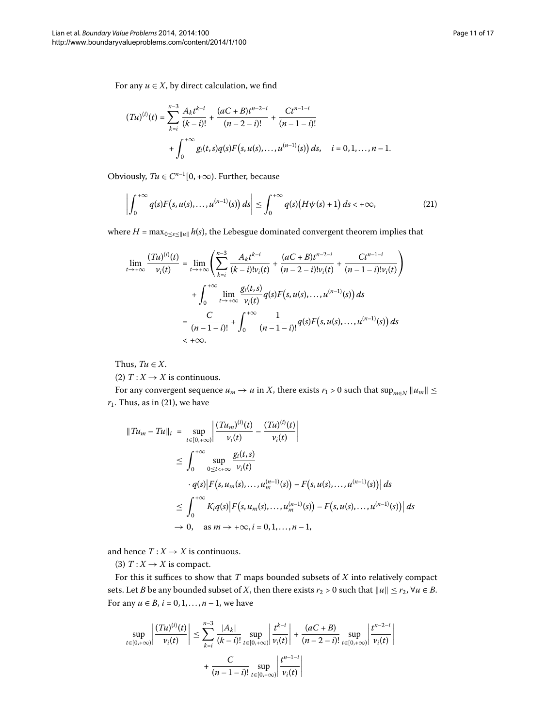For any  $u \in X$ , by direct calculation, we find

<span id="page-10-0"></span>
$$
(Tu)^{(i)}(t) = \sum_{k=i}^{n-3} \frac{A_k t^{k-i}}{(k-i)!} + \frac{(aC+B)t^{n-2-i}}{(n-2-i)!} + \frac{Ct^{n-1-i}}{(n-1-i)!} + \int_0^{+\infty} g_i(t,s)q(s)F(s,u(s),\ldots,u^{(n-1)}(s))\,ds, \quad i=0,1,\ldots,n-1.
$$

Obviously,  $Tu \in C^{n-1}[0, +\infty)$ . Further, because

$$
\left|\int_0^{+\infty} q(s) F\big(s, u(s), \ldots, u^{(n-1)}(s)\big) ds \right| \leq \int_0^{+\infty} q(s) \big(H\psi(s) + 1\big) ds < +\infty,
$$
\n(21)

where  $H = \max_{0 \le s \le ||u||} h(s)$ , the Lebesgue dominated convergent theorem implies that

$$
\lim_{t \to +\infty} \frac{(Tu)^{(i)}(t)}{\nu_i(t)} = \lim_{t \to +\infty} \left( \sum_{k=i}^{n-3} \frac{A_k t^{k-i}}{(k-i)! \nu_i(t)} + \frac{(aC+B)t^{n-2-i}}{(n-2-i)! \nu_i(t)} + \frac{Ct^{n-1-i}}{(n-1-i)! \nu_i(t)} \right)
$$

$$
+ \int_0^{+\infty} \lim_{t \to +\infty} \frac{g_i(t,s)}{\nu_i(t)} q(s) F(s, u(s), \dots, u^{(n-1)}(s)) ds
$$

$$
= \frac{C}{(n-1-i)!} + \int_0^{+\infty} \frac{1}{(n-1-i)!} q(s) F(s, u(s), \dots, u^{(n-1)}(s)) ds
$$

$$
< +\infty.
$$

Thus,  $Tu \in X$ .

(2)  $T: X \to X$  is continuous.

For any convergent sequence  $u_m \to u$  in *X*, there exists  $r_1 > 0$  such that  $\sup_{m \in N} ||u_m|| \le$  $r_1$ . Thus, as in [\(](#page-10-0)21), we have

$$
||Tu_m - Tu||_i = \sup_{t \in [0, +\infty)} \left| \frac{(Tu_m)^{(i)}(t)}{v_i(t)} - \frac{(Tu)^{(i)}(t)}{v_i(t)} \right|
$$
  
\n
$$
\leq \int_0^{+\infty} \sup_{0 \leq t < +\infty} \frac{g_i(t, s)}{v_i(t)}
$$
  
\n
$$
\cdot q(s) |F(s, u_m(s), \dots, u_m^{(n-1)}(s)) - F(s, u(s), \dots, u^{(n-1)}(s))| ds
$$
  
\n
$$
\leq \int_0^{+\infty} K_i q(s) |F(s, u_m(s), \dots, u_m^{(n-1)}(s)) - F(s, u(s), \dots, u^{(n-1)}(s))| ds
$$
  
\n
$$
\to 0, \text{ as } m \to +\infty, i = 0, 1, \dots, n - 1,
$$

and hence  $T: X \to X$  is continuous.

(3)  $T: X \rightarrow X$  is compact.

For this it suffices to show that *T* maps bounded subsets of *X* into relatively compact sets. Let *B* be any bounded subset of *X*, then there exists  $r_2 > 0$  such that  $||u|| \le r_2$ ,  $\forall u \in B$ . For any *u* ∈ *B*, *i* = 0, 1, . . . , *n* − 1, we have

$$
\sup_{t \in [0, +\infty)} \left| \frac{(Tu)^{(i)}(t)}{\nu_i(t)} \right| \le \sum_{k=i}^{n-3} \frac{|A_k|}{(k-i)!} \sup_{t \in [0, +\infty)} \left| \frac{t^{k-i}}{\nu_i(t)} \right| + \frac{(aC+B)}{(n-2-i)!} \sup_{t \in [0, +\infty)} \left| \frac{t^{n-2-i}}{\nu_i(t)} \right|
$$

$$
+ \frac{C}{(n-1-i)!} \sup_{t \in [0, +\infty)} \left| \frac{t^{n-1-i}}{\nu_i(t)} \right|
$$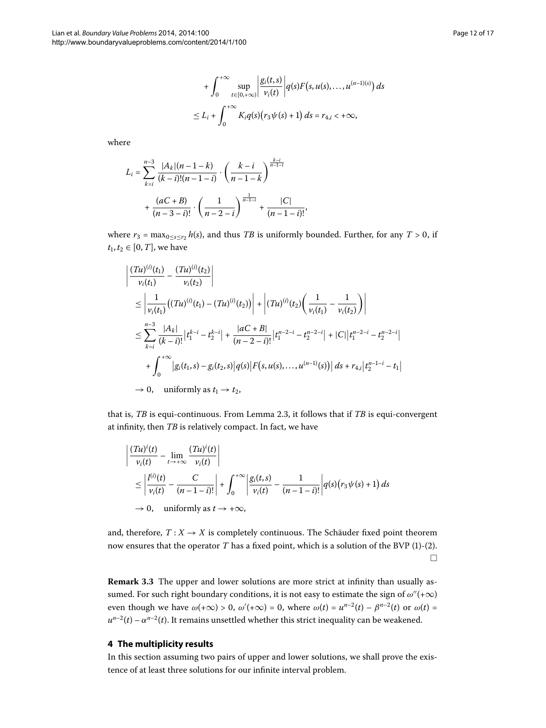$$
+\int_0^{+\infty} \sup_{t\in[0,+\infty)} \left|\frac{g_i(t,s)}{\nu_i(t)}\right| q(s) F(s, u(s), \dots, u^{(n-1)(s)}) ds
$$
  

$$
\leq L_i + \int_0^{+\infty} K_i q(s) (r_3 \psi(s) + 1) ds = r_{4,i} < +\infty,
$$

where

$$
L_{i} = \sum_{k=i}^{n-3} \frac{|A_{k}|(n-1-k)}{(k-i)!(n-1-i)} \cdot \left(\frac{k-i}{n-1-k}\right)^{\frac{k-i}{n-1-i}}
$$

$$
+ \frac{(aC+B)}{(n-3-i)!} \cdot \left(\frac{1}{n-2-i}\right)^{\frac{1}{n-1-i}} + \frac{|C|}{(n-1-i)!},
$$

where  $r_3 = \max_{0 \le s \le r_2} h(s)$ , and thus *TB* is uniformly bounded. Further, for any *T* > 0, if  $t_1, t_2 \in [0, T]$ , we have

$$
\left| \frac{(Tu)^{(i)}(t_1)}{\nu_i(t_1)} - \frac{(Tu)^{(i)}(t_2)}{\nu_i(t_2)} \right|
$$
\n
$$
\leq \left| \frac{1}{\nu_i(t_1)} \left( (Tu)^{(i)}(t_1) - (Tu)^{(i)}(t_2) \right) \right| + \left| (Tu)^{(i)}(t_2) \left( \frac{1}{\nu_i(t_1)} - \frac{1}{\nu_i(t_2)} \right) \right|
$$
\n
$$
\leq \sum_{k=i}^{n-3} \frac{|A_k|}{(k-i)!} |t_1^{k-i} - t_2^{k-i}| + \frac{|aC + B|}{(n-2-i)!} |t_1^{n-2-i} - t_2^{n-2-i}| + |C| |t_1^{n-2-i} - t_2^{n-2-i}|
$$
\n
$$
+ \int_0^{+\infty} |g_i(t_1, s) - g_i(t_2, s)| q(s) |F(s, u(s), ..., u^{(n-1)}(s))| ds + r_{4,i} |t_2^{n-1-i} - t_1|
$$
\n
$$
\to 0, \quad \text{uniformly as } t_1 \to t_2,
$$

that is, *TB* is equi-continuous. From Lemma 2.3, it follows that if *TB* is equi-convergent at infinity, then *TB* is relatively compact. In fact, we have

$$
\left| \frac{(Tu)^{i}(t)}{\nu_{i}(t)} - \lim_{t \to +\infty} \frac{(Tu)^{i}(t)}{\nu_{i}(t)} \right|
$$
\n
$$
\leq \left| \frac{l^{(i)}(t)}{\nu_{i}(t)} - \frac{C}{(n-1-i)!} \right| + \int_{0}^{+\infty} \left| \frac{g_{i}(t,s)}{\nu_{i}(t)} - \frac{1}{(n-1-i)!} \right| q(s) (r_{3} \psi(s) + 1) ds
$$
\n
$$
\to 0, \quad \text{uniformly as } t \to +\infty,
$$

and, therefore,  $T: X \to X$  is completely continuous. The Schäuder fixed point theorem now ensures that the operator  $T$  has a fixed point, which is a solution of the BVP (1[\)](#page-0-2)-(2).  $\Box$ 

**Remark 3.3** The upper and lower solutions are more strict at infinity than usually assumed. For such right boundary conditions, it is not easy to estimate the sign of  $ω''(+∞)$ even though we have  $\omega(+\infty) > 0$ ,  $\omega'(+\infty) = 0$ , where  $\omega(t) = u^{n-2}(t) - \beta^{n-2}(t)$  or  $\omega(t) =$  $u^{n-2}(t) - \alpha^{n-2}(t)$ . It remains unsettled whether this strict inequality can be weakened.

## **4 The multiplicity results**

In this section assuming two pairs of upper and lower solutions, we shall prove the existence of at least three solutions for our infinite interval problem.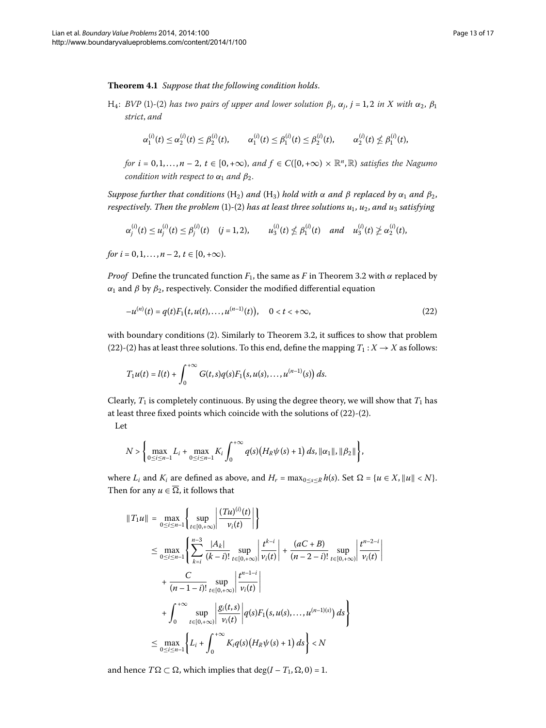<span id="page-12-1"></span>**Theorem .** *Suppose that the following condition holds*.

H<sub>4</sub>: *BVP* [\(](#page-0-1)1[\)](#page-0-2)-(2) *has two pairs of upper and lower solution*  $\beta_j$ ,  $\alpha_j$ ,  $j = 1, 2$  *in X with*  $\alpha_2$ ,  $\beta_1$ *strict*, *and*

$$
\alpha_1^{(i)}(t) \leq \alpha_2^{(i)}(t) \leq \beta_2^{(i)}(t), \qquad \alpha_1^{(i)}(t) \leq \beta_1^{(i)}(t) \leq \beta_2^{(i)}(t), \qquad \alpha_2^{(i)}(t) \nleq \beta_1^{(i)}(t),
$$

*for*  $i = 0, 1, ..., n - 2$ ,  $t \in [0, +\infty)$ , and  $f \in C([0, +\infty) \times \mathbb{R}^n, \mathbb{R})$  satisfies the Nagumo *condition with respect to*  $\alpha_1$  *and*  $\beta_2$ *.* 

*Suppose further that conditions*  $(H_2)$  *and*  $(H_3)$  *hold with*  $\alpha$  *and*  $\beta$  *replaced by*  $\alpha_1$  *and*  $\beta_2$ *, respectively. Then the problem* (1[\)](#page-0-2)-(2) *has at least three solutions*  $u_1$ ,  $u_2$ *, and*  $u_3$  *satisfying* 

<span id="page-12-0"></span>
$$
\alpha_j^{(i)}(t) \leq u_j^{(i)}(t) \leq \beta_j^{(i)}(t) \quad (j = 1, 2), \qquad u_3^{(i)}(t) \nleq \beta_1^{(i)}(t) \quad and \quad u_3^{(i)}(t) \ngeq \alpha_2^{(i)}(t),
$$

*for*  $i = 0, 1, \ldots, n - 2, t \in [0, +\infty)$ .

*Proof* Define the truncated function  $F_1$ , the same as *F* in Theorem 3[.](#page-7-0)2 with  $\alpha$  replaced by *α*<sup>1</sup> and *β* by  $β$ <sub>2</sub>, respectively. Consider the modified differential equation

$$
-u^{(n)}(t) = q(t)F_1(t, u(t), \dots, u^{(n-1)}(t)), \quad 0 < t < +\infty,
$$
\n(22)

with boundary conditions (2[\)](#page-0-2)[.](#page-7-0) Similarly to Theorem 3.2, it suffices to show that problem (22[\)](#page-0-2)-(2) has at least three solutions. To this end, define the mapping  $T_1 : X \to X$  as follows:

$$
T_1u(t) = l(t) + \int_0^{+\infty} G(t,s)q(s)F_1(s,u(s),\ldots,u^{(n-1)}(s)) ds.
$$

Clearly,  $T_1$  is completely continuous. By using the degree theory, we will show that  $T_1$  has at least three fixed points which coincide with the solutions of  $(22)-(2)$  $(22)-(2)$ .

Let

$$
N > \left\{\max_{0 \leq i \leq n-1} L_i + \max_{0 \leq i \leq n-1} K_i \int_0^{+\infty} q(s) (H_R \psi(s) + 1) ds, ||\alpha_1||, ||\beta_2|| \right\},\
$$

where  $L_i$  and  $K_i$  are defined as above, and  $H_r = \max_{0 \le s \le R} h(s)$ . Set  $\Omega = \{u \in X, ||u|| \le N\}$ . Then for any  $u \in \overline{\Omega}$ , it follows that

$$
||T_1u|| = \max_{0 \le i \le n-1} \left\{ \sup_{t \in [0,+\infty)} \left| \frac{(Tu)^{(i)}(t)}{\nu_i(t)} \right| \right\}
$$
  
\n
$$
\le \max_{0 \le i \le n-1} \left\{ \sum_{k=i}^{n-3} \frac{|A_k|}{(k-i)!} \sup_{t \in [0,+\infty)} \left| \frac{t^{k-i}}{\nu_i(t)} \right| + \frac{(aC+B)}{(n-2-i)!} \sup_{t \in [0,+\infty)} \left| \frac{t^{n-2-i}}{\nu_i(t)} \right| + \frac{C}{(n-1-i)!} \sup_{t \in [0,+\infty)} \left| \frac{t^{n-1-i}}{\nu_i(t)} \right|
$$
  
\n
$$
+ \int_0^{+\infty} \sup_{t \in [0,+\infty)} \left| \frac{g_i(t,s)}{\nu_i(t)} \right| q(s) F_1(s, u(s), \dots, u^{(n-1)(s)}) ds \right\}
$$
  
\n
$$
\le \max_{0 \le i \le n-1} \left\{ L_i + \int_0^{+\infty} K_i q(s) (H_R \psi(s) + 1) ds \right\} < N
$$

and hence  $T\Omega \subset \Omega$ , which implies that  $\deg(I - T_1, \Omega, 0) = 1$ .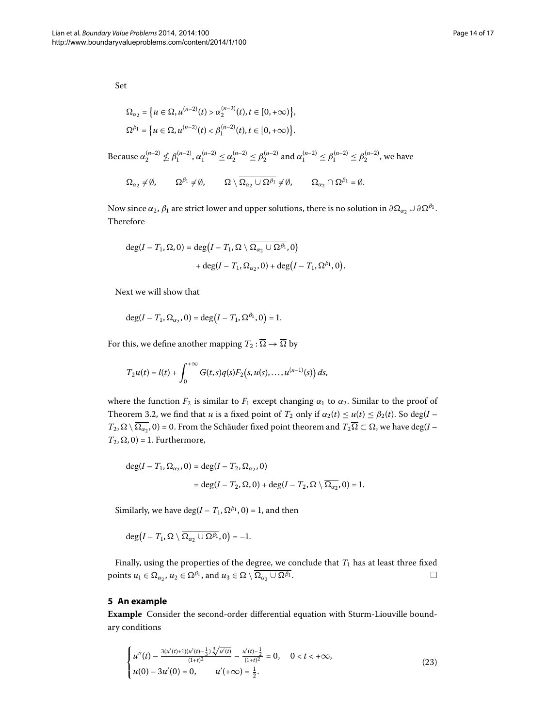Set

$$
\Omega_{\alpha_2} = \{ u \in \Omega, u^{(n-2)}(t) > \alpha_2^{(n-2)}(t), t \in [0, +\infty) \},\
$$
  

$$
\Omega^{\beta_1} = \{ u \in \Omega, u^{(n-2)}(t) < \beta_1^{(n-2)}(t), t \in [0, +\infty) \}.
$$

Because  $\alpha_2^{(n-2)} \nleq \beta_1^{(n-2)}$ ,  $\alpha_1^{(n-2)} \leq \alpha_2^{(n-2)} \leq \beta_2^{(n-2)}$  and  $\alpha_1^{(n-2)} \leq \beta_1^{(n-2)} \leq \beta_2^{(n-2)}$ , we have

$$
\Omega_{\alpha_2} \neq \emptyset, \qquad \Omega^{\beta_1} \neq \emptyset, \qquad \Omega \setminus \overline{\Omega_{\alpha_2} \cup \Omega^{\beta_1}} \neq \emptyset, \qquad \Omega_{\alpha_2} \cap \Omega^{\beta_1} = \emptyset.
$$

Now since  $\alpha_2$ ,  $\beta_1$  are strict lower and upper solutions, there is no solution in  $\partial \Omega_{\alpha_2} \cup \partial \Omega^{\beta_1}$ . Therefore

$$
deg(I - T_1, \Omega, 0) = deg(I - T_1, \Omega \setminus \overline{\Omega_{\alpha_2} \cup \Omega^{\beta_1}}, 0)
$$
  
+ deg(I - T\_1, \Omega\_{\alpha\_2}, 0) + deg(I - T\_1, \Omega^{\beta\_1}, 0).

Next we will show that

$$
\deg(I - T_1, \Omega_{\alpha_2}, 0) = \deg(I - T_1, \Omega^{\beta_1}, 0) = 1.
$$

For this, we define another mapping  $T_2 : \overline{\Omega} \to \overline{\Omega}$  by

$$
T_2u(t) = l(t) + \int_0^{+\infty} G(t,s)q(s)F_2(s,u(s),\ldots,u^{(n-1)}(s)) ds,
$$

where the function  $F_2$  is similar to  $F_1$  except changing  $\alpha_1$  to  $\alpha_2$ . Similar to the proof of Theorem 3[.](#page-7-0)2, we find that *u* is a fixed point of  $T_2$  only if  $\alpha_2(t) \le u(t) \le \beta_2(t)$ . So deg(*I* –  $T_2$ ,  $\Omega \setminus \overline{\Omega_{\alpha_2}}$ , 0) = 0. From the Schäuder fixed point theorem and  $T_2\overline{\Omega} \subset \Omega$ , we have deg(*I* –  $T_2, \Omega, 0$  = 1. Furthermore,

$$
deg(I - T_1, \Omega_{\alpha_2}, 0) = deg(I - T_2, \Omega_{\alpha_2}, 0)
$$
  
= deg(I - T\_2, \Omega, 0) + deg(I - T\_2, \Omega \setminus \overline{\Omega\_{\alpha\_2}}, 0) = 1.

Similarly, we have deg( $I - T_1$ ,  $\Omega^{\beta_1}$ , 0) = 1, and then

<span id="page-13-0"></span> $deg(I - T_1, \Omega \setminus \Omega_{\alpha_2} \cup \Omega^{\beta_1}, 0) = -1.$ 

Finally, using the properties of the degree, we conclude that  $T_1$  has at least three fixed points  $u_1 \in \Omega_{\alpha_2}$ ,  $u_2 \in \Omega^{\beta_1}$ , and  $u_3 \in \Omega \setminus \overline{\Omega_{\alpha_2} \cup \Omega^{\beta_1}}$ .

## **5 An example**

**Example** Consider the second-order differential equation with Sturm-Liouville boundary conditions

$$
\begin{cases}\nu''(t) - \frac{3(u'(t)+1)(u'(t)-\frac{1}{3})\sqrt[3]{u'(t)}}{(1+t)^2} - \frac{u'(t)-\frac{1}{2}}{(1+t)^2} = 0, & 0 < t < +\infty, \\
u(0) - 3u'(0) = 0, & u'(+\infty) = \frac{1}{2}.\n\end{cases}
$$
\n(23)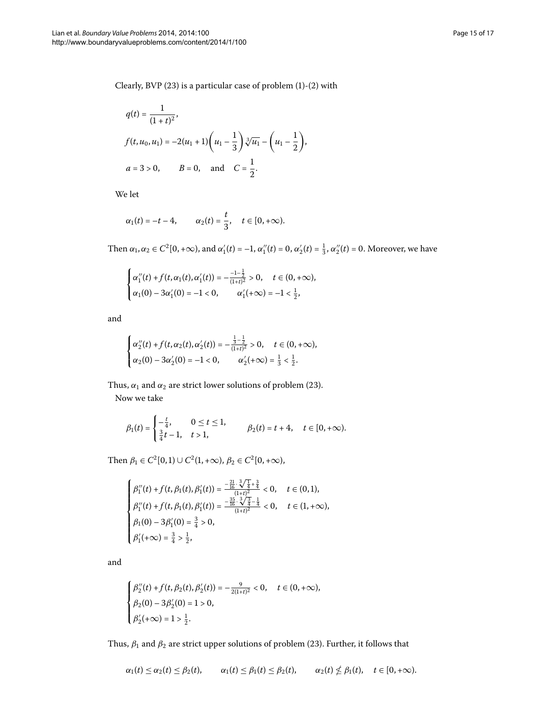Clearly, BVP  $(23)$  $(23)$  $(23)$  is a particular case of problem  $(1)-(2)$  with

$$
q(t) = \frac{1}{(1+t)^2},
$$
  
\n
$$
f(t, u_0, u_1) = -2(u_1 + 1)\left(u_1 - \frac{1}{3}\right)\sqrt[3]{u_1} - \left(u_1 - \frac{1}{2}\right),
$$
  
\n
$$
a = 3 > 0, \qquad B = 0, \text{ and } C = \frac{1}{2}.
$$

We let

$$
\alpha_1(t) = -t - 4
$$
,  $\alpha_2(t) = \frac{t}{3}$ ,  $t \in [0, +\infty)$ .

Then  $α_1, α_2 \in C^2[0, +\infty)$ , and  $α'_1(t) = -1$ ,  $α''_1(t) = 0$ ,  $α'_2(t) = \frac{1}{3}$ ,  $α''_2(t) = 0$ . Moreover, we have

$$
\begin{cases} \alpha_1''(t) + f(t, \alpha_1(t), \alpha_1'(t)) = -\frac{-1 - \frac{1}{2}}{(1 + t)^2} > 0, \quad t \in (0, +\infty), \\ \alpha_1(0) - 3\alpha_1'(0) = -1 < 0, \qquad \alpha_1'(+\infty) = -1 < \frac{1}{2}, \end{cases}
$$

and

$$
\begin{cases} \alpha''_2(t) + f(t, \alpha_2(t), \alpha'_2(t)) = -\frac{\frac{1}{3} - \frac{1}{2}}{(1+t)^2} > 0, \quad t \in (0, +\infty), \\ \alpha_2(0) - 3\alpha'_2(0) = -1 < 0, \qquad \alpha'_2(+\infty) = \frac{1}{3} < \frac{1}{2}. \end{cases}
$$

Thus,  $\alpha_1$  and  $\alpha_2$  are strict lower solutions of problem [\(](#page-13-0)23). Now we take

$$
\beta_1(t) = \begin{cases}\n-\frac{t}{4}, & 0 \le t \le 1, \\
\frac{3}{4}t - 1, & t > 1,\n\end{cases} \n\beta_2(t) = t + 4, \quad t \in [0, +\infty).
$$

Then  $\beta_1 \in C^2[0, 1] \cup C^2(1, +\infty)$ ,  $\beta_2 \in C^2[0, +\infty)$ ,

$$
\begin{cases} \beta_1''(t) + f(t, \beta_1(t), \beta_1'(t)) = \frac{-\frac{21}{16} \cdot \sqrt[3]{\frac{1}{4}} + \frac{3}{4}}{(1+t)^2} < 0, \quad t \in (0,1), \\ \beta_1''(t) + f(t, \beta_1(t), \beta_1'(t)) = \frac{-\frac{35}{16} \cdot \sqrt[3]{\frac{3}{4}} - \frac{1}{4}}{(1+t)^2} < 0, \quad t \in (1, +\infty), \\ \beta_1(0) - 3\beta_1'(0) = \frac{3}{4} > 0, \\ \beta_1'(+\infty) = \frac{3}{4} > \frac{1}{2}, \end{cases}
$$

and

$$
\begin{cases} \beta_{2}''(t) + f(t,\beta_{2}(t),\beta_{2}'(t)) = -\frac{9}{2(1+t)^{2}} < 0, \quad t \in (0,+\infty), \\ \beta_{2}(0) - 3\beta_{2}'(0) = 1 > 0, \\ \beta_{2}'(+\infty) = 1 > \frac{1}{2}. \end{cases}
$$

Thus,  $\beta_1$  and  $\beta_2$  are strict upper solutions of problem [\(](#page-13-0)23). Further, it follows that

$$
\alpha_1(t) \leq \alpha_2(t) \leq \beta_2(t), \qquad \alpha_1(t) \leq \beta_1(t) \leq \beta_2(t), \qquad \alpha_2(t) \nleq \beta_1(t), \quad t \in [0, +\infty).
$$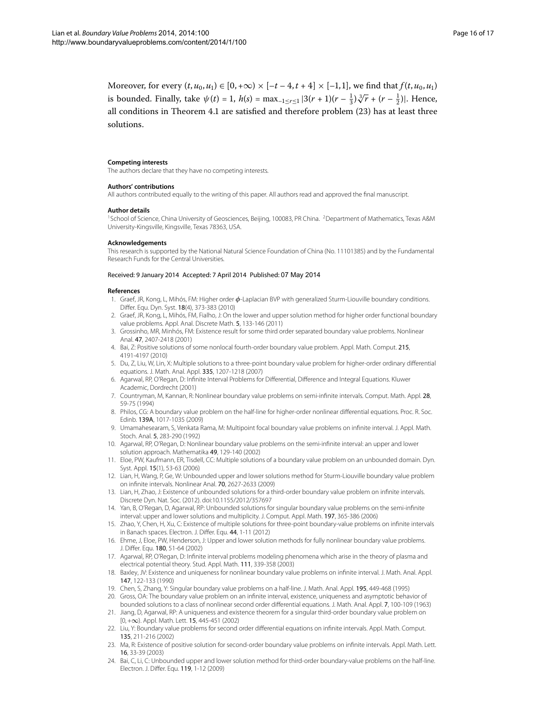Moreover, for every  $(t, u_0, u_1) \in [0, +\infty) \times [-t-4, t+4] \times [-1, 1]$ , we find that  $f(t, u_0, u_1)$ is bounded. Finally, take  $\psi(t) = 1$ ,  $h(s) = \max_{-1 \le r \le 1} |3(r + 1)(r - \frac{1}{3})\sqrt[3]{r} + (r - \frac{1}{2})|$ . Hence, all conditions in Theorem 4[.](#page-12-1)1 are satisfied and therefore problem  $(23)$  has at least three solutions.

#### <span id="page-15-1"></span><span id="page-15-0"></span>**Competing interests**

The authors declare that they have no competing interests.

#### **Authors' contributions**

All authors contributed equally to the writing of this paper. All authors read and approved the final manuscript.

#### **Author details**

<span id="page-15-8"></span><span id="page-15-2"></span><sup>1</sup>School of Science, China University of Geosciences, Beijing, 100083, PR China, <sup>2</sup>Department of Mathematics, Texas A&M University-Kingsville, Kingsville, Texas 78363, USA.

#### **Acknowledgements**

<span id="page-15-4"></span><span id="page-15-3"></span>This research is supported by the National Natural Science Foundation of China (No. 11101385) and by the Fundamental Research Funds for the Central Universities.

## <span id="page-15-5"></span>Received: 9 January 2014 Accepted: 7 April 2014 Published: 07 May 2014

#### <span id="page-15-13"></span><span id="page-15-6"></span>**References**

- 1. Graef, JR, Kong, L, Mihós, FM: Higher order *φ*-Laplacian BVP with generalized Sturm-Liouville boundary conditions. Differ. Equ. Dyn. Syst. 18(4), 373-383 (2010)
- 2. Graef, JR, Kong, L, Mihós, FM, Fialho, J: On the lower and upper solution method for higher order functional boundary value problems. Appl. Anal. Discrete Math. 5, 133-146 (2011)
- 3. Grossinho, MR, Minhós, FM: Existence result for some third order separated boundary value problems. Nonlinear Anal. 47, 2407-2418 (2001)
- <span id="page-15-7"></span>4. Bai, Z: Positive solutions of some nonlocal fourth-order boundary value problem. Appl. Math. Comput. 215, 4191-4197 (2010)
- <span id="page-15-9"></span>5. Du, Z, Liu, W, Lin, X: Multiple solutions to a three-point boundary value problem for higher-order ordinary differential equations. J. Math. Anal. Appl. 335, 1207-1218 (2007)
- <span id="page-15-11"></span>6. Agarwal, RP, O'Regan, D: Infinite Interval Problems for Differential, Difference and Integral Equations. Kluwer Academic, Dordrecht (2001)
- <span id="page-15-18"></span>7. Countryman, M, Kannan, R: Nonlinear boundary value problems on semi-infinite intervals. Comput. Math. Appl. 28, 59-75 (1994)
- <span id="page-15-15"></span>8. Philos, CG: A boundary value problem on the half-line for higher-order nonlinear differential equations. Proc. R. Soc. Edinb. 139A, 1017-1035 (2009)
- <span id="page-15-17"></span>9. Umamahesearam, S, Venkata Rama, M: Multipoint focal boundary value problems on infinite interval. J. Appl. Math. Stoch. Anal. 5, 283-290 (1992)
- <span id="page-15-10"></span>10. Agarwal, RP, O'Regan, D: Nonlinear boundary value problems on the semi-infinite interval: an upper and lower solution approach. Mathematika 49, 129-140 (2002)
- <span id="page-15-12"></span>11. Eloe, PW, Kaufmann, ER, Tisdell, CC: Multiple solutions of a boundary value problem on an unbounded domain. Dyn. Syst. Appl. 15(1), 53-63 (2006)
- <span id="page-15-14"></span>12. Lian, H, Wang, P, Ge, W: Unbounded upper and lower solutions method for Sturm-Liouville boundary value problem on infinite intervals. Nonlinear Anal. 70, 2627-2633 (2009)
- 13. Lian, H, Zhao, J: Existence of unbounded solutions for a third-order boundary value problem on infinite intervals. Discrete Dyn. Nat. Soc. (2012). doi:[10.1155/2012/357697](http://dx.doi.org/10.1155/2012/357697)
- 14. Yan, B, O'Regan, D, Agarwal, RP: Unbounded solutions for singular boundary value problems on the semi-infinite interval: upper and lower solutions and multiplicity. J. Comput. Appl. Math. 197, 365-386 (2006)
- 15. Zhao, Y, Chen, H, Xu, C: Existence of multiple solutions for three-point boundary-value problems on infinite intervals in Banach spaces. Electron. J. Differ. Equ. 44, 1-11 (2012)
- 16. Ehme, J, Eloe, PW, Henderson, J: Upper and lower solution methods for fully nonlinear boundary value problems. J. Differ. Equ. 180, 51-64 (2002)
- 17. Agarwal, RP, O'Regan, D: Infinite interval problems modeling phenomena which arise in the theory of plasma and electrical potential theory. Stud. Appl. Math. 111, 339-358 (2003)
- <span id="page-15-16"></span>18. Baxley, JV: Existence and uniqueness for nonlinear boundary value problems on infinite interval. J. Math. Anal. Appl. 147, 122-133 (1990)
- 19. Chen, S, Zhang, Y: Singular boundary value problems on a half-line. J. Math. Anal. Appl. 195, 449-468 (1995)
- 20. Gross, OA: The boundary value problem on an infinite interval, existence, uniqueness and asymptotic behavior of bounded solutions to a class of nonlinear second order differential equations. J. Math. Anal. Appl. 7, 100-109 (1963)
- 21. Jiang, D, Agarwal, RP: A uniqueness and existence theorem for a singular third-order boundary value problem on [0, +∞). Appl. Math. Lett. 15, 445-451 (2002)
- 22. Liu, Y: Boundary value problems for second order differential equations on infinite intervals. Appl. Math. Comput. 135, 211-216 (2002)
- 23. Ma, R: Existence of positive solution for second-order boundary value problems on infinite intervals. Appl. Math. Lett. 16, 33-39 (2003)
- 24. Bai, C, Li, C: Unbounded upper and lower solution method for third-order boundary-value problems on the half-line. Electron. J. Differ. Equ. 119, 1-12 (2009)